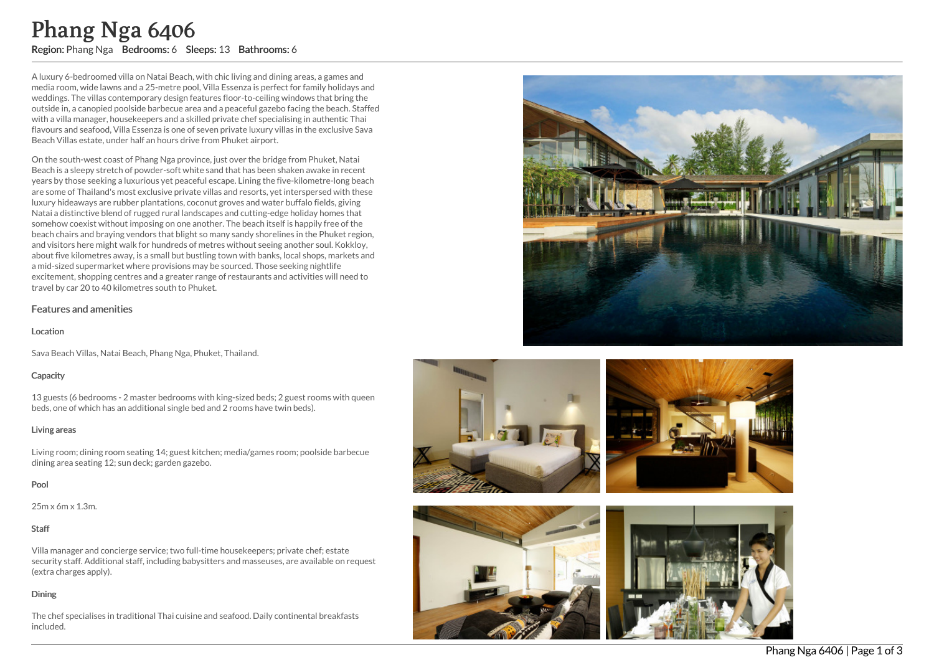A luxury 6-bedroomed villa on Natai Beach, with chic living and dining areas, a games and media room, wide lawns and a 25-metre pool, Villa Essenza is perfect for family holidays and weddings. The villas contemporary design features floor-to-ceiling windows that bring the outside in, a canopied poolside barbecue area and a peaceful gazebo facing the beach. Staffed with a villa manager, housekeepers and a skilled private chef specialising in authentic Thai flavours and seafood, Villa Essenza is one of seven private luxury villas in the exclusive Sav a Beach Villas estate, under half an hours drive from Phuket airport.

On the south-west coast of Phang Nga province, just over the bridge from Phuket, Natai Beach is a sleepy stretch of powder-soft white sand that has been shaken awake in recen t years by those seeking a luxurious yet peaceful escape. Lining the five-kilometre-long beach are some of Thailand's most exclusive private villas and resorts, yet interspersed with these luxury hideaways are rubber plantations, coconut groves and water buffalo fields, giving Natai a distinctive blend of rugged rural landscapes and cutting-edge holiday homes that somehow coexist without imposing on one another. The beach itself is happily free of the beach chairs and braying vendors that blight so many sandy shorelines in the Phuket region, and visitors here might walk for hundreds of metres without seeing another soul. Kokkloy, about five kilometres away, is a small but bustling town with banks, local shops, markets and a mid-sized supermarket where provisions may be sourced. Those seeking nightlife excitement, shopping centres and a greater range of restaurants and activities will need to travel by car 20 to 40 kilometres south to Phuket. **Phang Nga 6406**<br>
Region: Phang Nga Bedrooms: 6 Sleeps: 13 Bathrooms: 6<br>
Aluxury 6-bedroomed villa on Natai Beach, with chic living and dining an<br>
media room, wide lawns and a 25-metre pool, Villa Essenza is perfect to<br>med

# Features and amenities

#### Location

Sava Beach Villas, Natai Beach, Phang Nga, Phuket, Thailand.

# **Capacity**

13 guests (6 bedrooms - 2 master bedrooms with king-sized beds; 2 guest rooms with queen beds, one of which has an additional single bed and 2 rooms have twin beds).

# Living areas

Living room; dining room seating 14; guest kitchen; media/games room; poolside barbecue dining area seating 12; sun deck; garden gazebo.

# Pool

25m x 6m x 1.3m.

# Staff

Villa manager and concierge service; two full-time housekeepers; private chef; estate security staff. Additional staff, including babysitters and masseuses, are available on request (extra charges apply).

# Dining

The chef specialises in traditional Thai cuisine and seafood. Daily continental breakfasts







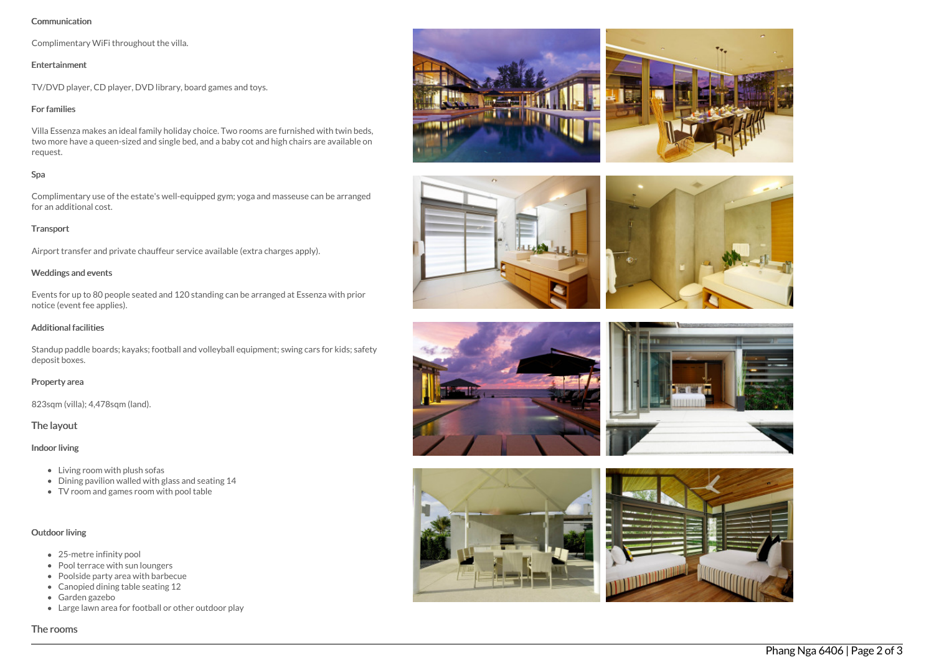#### Communication

Complimentary WiFi throughout the villa.

# Entertainment

TV/DVD player, CD player, DVD library, board games and toys.

# For families

Villa Essenza makes an ideal family holiday choice. Two rooms are furnished with twin beds, two more have a queen-sized and single bed, and a baby cot and high chairs are available on request.

# Spa

Complimentary use of the estate's well-equipped gym; yoga and masseuse can be arranged for an additional cost.

# Transport

Airport transfer and private chauffeur service available (extra charges apply).

# Weddings and events

Events for up to 80 people seated and 120 standing can be arranged at Essenza with prior notice (event fee applies).

#### Additional facilities

Standup paddle boards; kayaks; football and volleyball equipment; swing cars for kids; safety deposit boxes.

#### Property area

823sqm (villa); 4,478sqm (land).

# The layout

# Indoor living

- Living room with plush sofas
- Dining pavilion walled with glass and seating 14
- TV room and games room with pool table

# Outdoor living

- 25-metre infinity pool
- Pool terrace with sun loungers
- Poolside party area with barbecue
- Canopied dining table seating 12
- Garden gazebo
- Large lawn area for football or other outdoor play

#### The rooms